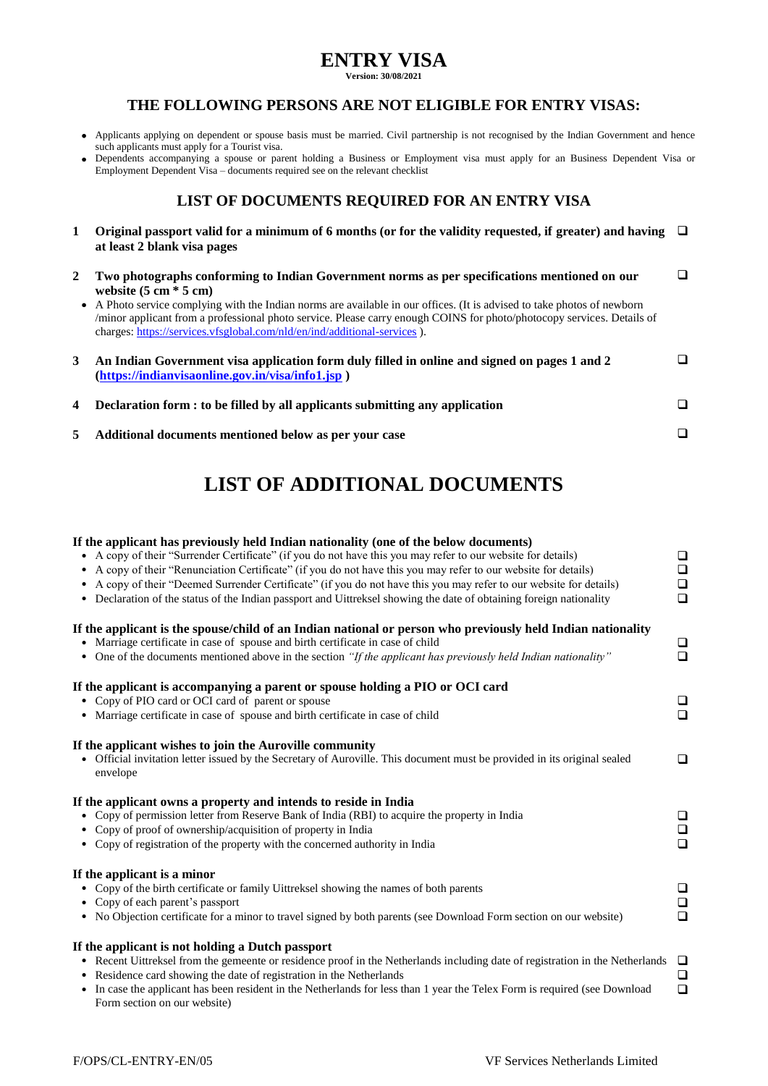## **ENTRY VISA**

**Version: 30/08/2021**

### **THE FOLLOWING PERSONS ARE NOT ELIGIBLE FOR ENTRY VISAS:**

- Applicants applying on dependent or spouse basis must be married. Civil partnership is not recognised by the Indian Government and hence such applicants must apply for a Tourist visa.
- Dependents accompanying a spouse or parent holding a Business or Employment visa must apply for an Business Dependent Visa or Employment Dependent Visa – documents required see on the relevant checklist

## **LIST OF DOCUMENTS REQUIRED FOR AN ENTRY VISA**

- **1 Original passport valid for a minimum of 6 months (or for the validity requested, if greater) and having at least 2 blank visa pages**
- **2 Two photographs conforming to Indian Government norms as per specifications mentioned on our website (5 cm \* 5 cm)**  $\Box$

 A Photo service complying with the Indian norms are available in our offices. (It is advised to take photos of newborn /minor applicant from a professional photo service. Please carry enough COINS for photo/photocopy services. Details of charges:<https://services.vfsglobal.com/nld/en/ind/additional-services> ).

| An Indian Government visa application form duly filled in online and signed on pages 1 and 2<br>$(htts://indianvisaonline.gov.in/visa/info1.jsp)$ | ◻ |
|---------------------------------------------------------------------------------------------------------------------------------------------------|---|
| 4 Declaration form : to be filled by all applicants submitting any application                                                                    | ∩ |
| Additional documents mentioned below as per your case                                                                                             | ∩ |

# **LIST OF ADDITIONAL DOCUMENTS**

| If the applicant has previously held Indian nationality (one of the below documents)                                                    |        |
|-----------------------------------------------------------------------------------------------------------------------------------------|--------|
| A copy of their "Surrender Certificate" (if you do not have this you may refer to our website for details)                              | $\Box$ |
| A copy of their "Renunciation Certificate" (if you do not have this you may refer to our website for details)                           | $\Box$ |
| A copy of their "Deemed Surrender Certificate" (if you do not have this you may refer to our website for details)                       | $\Box$ |
| • Declaration of the status of the Indian passport and Uittreksel showing the date of obtaining foreign nationality                     | $\Box$ |
|                                                                                                                                         |        |
| If the applicant is the spouse/child of an Indian national or person who previously held Indian nationality                             |        |
| • Marriage certificate in case of spouse and birth certificate in case of child                                                         | $\Box$ |
| • One of the documents mentioned above in the section "If the applicant has previously held Indian nationality"                         | $\Box$ |
|                                                                                                                                         |        |
| If the applicant is accompanying a parent or spouse holding a PIO or OCI card                                                           |        |
| • Copy of PIO card or OCI card of parent or spouse                                                                                      | $\Box$ |
| • Marriage certificate in case of spouse and birth certificate in case of child                                                         | $\Box$ |
|                                                                                                                                         |        |
| If the applicant wishes to join the Auroville community                                                                                 |        |
| Official invitation letter issued by the Secretary of Auroville. This document must be provided in its original sealed                  | $\Box$ |
| envelope                                                                                                                                |        |
|                                                                                                                                         |        |
| If the applicant owns a property and intends to reside in India                                                                         |        |
| Copy of permission letter from Reserve Bank of India (RBI) to acquire the property in India                                             | $\Box$ |
| Copy of proof of ownership/acquisition of property in India                                                                             | $\Box$ |
| • Copy of registration of the property with the concerned authority in India                                                            | $\Box$ |
|                                                                                                                                         |        |
| If the applicant is a minor                                                                                                             |        |
| • Copy of the birth certificate or family Uittreksel showing the names of both parents                                                  | $\Box$ |
| • Copy of each parent's passport                                                                                                        | $\Box$ |
| • No Objection certificate for a minor to travel signed by both parents (see Download Form section on our website)                      | $\Box$ |
|                                                                                                                                         |        |
| If the applicant is not holding a Dutch passport                                                                                        |        |
| • Recent Uittreksel from the gemeente or residence proof in the Netherlands including date of registration in the Netherlands $\square$ |        |
| Residence card showing the date of registration in the Netherlands                                                                      | $\Box$ |
| In case the applicant has been resident in the Netherlands for less than 1 year the Telex Form is required (see Download                | $\Box$ |
| Form section on our website)                                                                                                            |        |